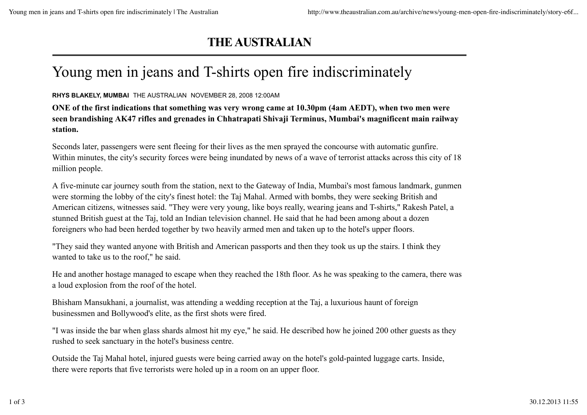## **THE AUSTRALIAN**

## Young men in jeans and T-shirts open fire indiscriminately

## **RHYS BLAKELY, MUMBAI** THE AUSTRALIAN NOVEMBER 28, 2008 12:00AM

**ONE of the first indications that something was very wrong came at 10.30pm (4am AEDT), when two men were seen brandishing AK47 rifles and grenades in Chhatrapati Shivaji Terminus, Mumbai's magnificent main railway station.**

Seconds later, passengers were sent fleeing for their lives as the men sprayed the concourse with automatic gunfire. Within minutes, the city's security forces were being inundated by news of a wave of terrorist attacks across this city of 18 million people.

A five-minute car journey south from the station, next to the Gateway of India, Mumbai's most famous landmark, gunmen were storming the lobby of the city's finest hotel: the Taj Mahal. Armed with bombs, they were seeking British and American citizens, witnesses said. "They were very young, like boys really, wearing jeans and T-shirts," Rakesh Patel, a stunned British guest at the Taj, told an Indian television channel. He said that he had been among about a dozen foreigners who had been herded together by two heavily armed men and taken up to the hotel's upper floors.

"They said they wanted anyone with British and American passports and then they took us up the stairs. I think they wanted to take us to the roof," he said.

He and another hostage managed to escape when they reached the 18th floor. As he was speaking to the camera, there was a loud explosion from the roof of the hotel.

Bhisham Mansukhani, a journalist, was attending a wedding reception at the Taj, a luxurious haunt of foreign businessmen and Bollywood's elite, as the first shots were fired.

"I was inside the bar when glass shards almost hit my eye," he said. He described how he joined 200 other guests as they rushed to seek sanctuary in the hotel's business centre.

Outside the Taj Mahal hotel, injured guests were being carried away on the hotel's gold-painted luggage carts. Inside, there were reports that five terrorists were holed up in a room on an upper floor.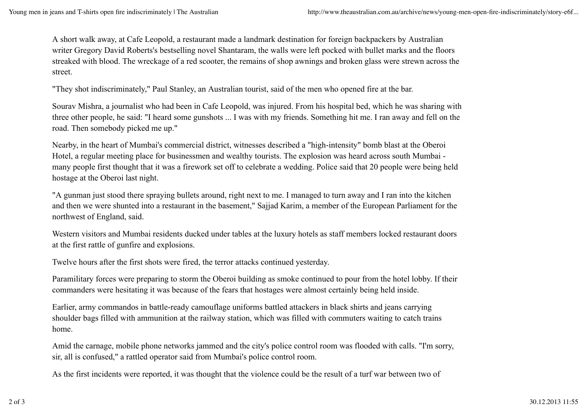A short walk away, at Cafe Leopold, a restaurant made a landmark destination for foreign backpackers by Australian writer Gregory David Roberts's bestselling novel Shantaram, the walls were left pocked with bullet marks and the floors streaked with blood. The wreckage of a red scooter, the remains of shop awnings and broken glass were strewn across the street.

"They shot indiscriminately," Paul Stanley, an Australian tourist, said of the men who opened fire at the bar.

Sourav Mishra, a journalist who had been in Cafe Leopold, was injured. From his hospital bed, which he was sharing with three other people, he said: "I heard some gunshots ... I was with my friends. Something hit me. I ran away and fell on the road. Then somebody picked me up."

Nearby, in the heart of Mumbai's commercial district, witnesses described a "high-intensity" bomb blast at the Oberoi Hotel, a regular meeting place for businessmen and wealthy tourists. The explosion was heard across south Mumbai many people first thought that it was a firework set off to celebrate a wedding. Police said that 20 people were being held hostage at the Oberoi last night.

"A gunman just stood there spraying bullets around, right next to me. I managed to turn away and I ran into the kitchen and then we were shunted into a restaurant in the basement," Sajjad Karim, a member of the European Parliament for the northwest of England, said.

Western visitors and Mumbai residents ducked under tables at the luxury hotels as staff members locked restaurant doors at the first rattle of gunfire and explosions.

Twelve hours after the first shots were fired, the terror attacks continued yesterday.

Paramilitary forces were preparing to storm the Oberoi building as smoke continued to pour from the hotel lobby. If their commanders were hesitating it was because of the fears that hostages were almost certainly being held inside.

Earlier, army commandos in battle-ready camouflage uniforms battled attackers in black shirts and jeans carrying shoulder bags filled with ammunition at the railway station, which was filled with commuters waiting to catch trains home.

Amid the carnage, mobile phone networks jammed and the city's police control room was flooded with calls. "I'm sorry, sir, all is confused," a rattled operator said from Mumbai's police control room.

As the first incidents were reported, it was thought that the violence could be the result of a turf war between two of